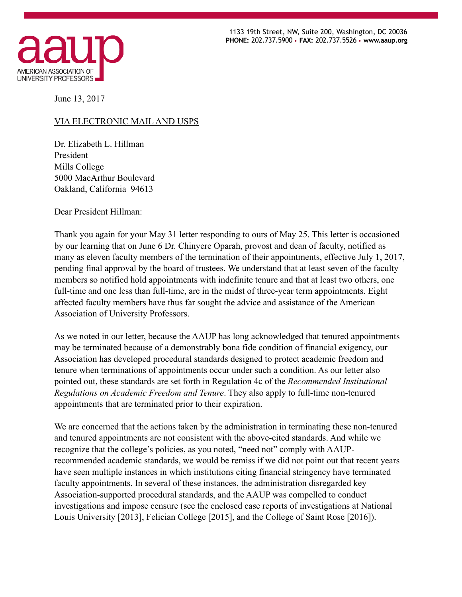

 1133 19th Street, NW, Suite 200, Washington, DC 20036 **PHONE:** 202.737.5900 • **FAX:** 202.737.5526 • **www.aaup.org** 

June 13, 2017

## VIA ELECTRONIC MAIL AND USPS

Dr. Elizabeth L. Hillman President Mills College 5000 MacArthur Boulevard Oakland, California 94613

Dear President Hillman:

Thank you again for your May 31 letter responding to ours of May 25. This letter is occasioned by our learning that on June 6 Dr. Chinyere Oparah, provost and dean of faculty, notified as many as eleven faculty members of the termination of their appointments, effective July 1, 2017, pending final approval by the board of trustees. We understand that at least seven of the faculty members so notified hold appointments with indefinite tenure and that at least two others, one full-time and one less than full-time, are in the midst of three-year term appointments. Eight affected faculty members have thus far sought the advice and assistance of the American Association of University Professors.

As we noted in our letter, because the AAUP has long acknowledged that tenured appointments may be terminated because of a demonstrably bona fide condition of financial exigency, our Association has developed procedural standards designed to protect academic freedom and tenure when terminations of appointments occur under such a condition. As our letter also pointed out, these standards are set forth in Regulation 4c of the *Recommended Institutional Regulations on Academic Freedom and Tenure*. They also apply to full-time non-tenured appointments that are terminated prior to their expiration.

We are concerned that the actions taken by the administration in terminating these non-tenured and tenured appointments are not consistent with the above-cited standards. And while we recognize that the college's policies, as you noted, "need not" comply with AAUPrecommended academic standards, we would be remiss if we did not point out that recent years have seen multiple instances in which institutions citing financial stringency have terminated faculty appointments. In several of these instances, the administration disregarded key Association-supported procedural standards, and the AAUP was compelled to conduct investigations and impose censure (see the enclosed case reports of investigations at National Louis University [2013], Felician College [2015], and the College of Saint Rose [2016]).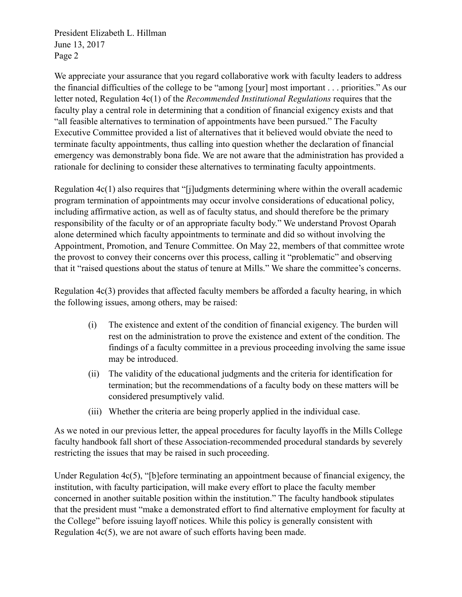President Elizabeth L. Hillman June 13, 2017 Page 2

We appreciate your assurance that you regard collaborative work with faculty leaders to address the financial difficulties of the college to be "among [your] most important . . . priorities." As our letter noted, Regulation 4c(1) of the *Recommended Institutional Regulations* requires that the faculty play a central role in determining that a condition of financial exigency exists and that "all feasible alternatives to termination of appointments have been pursued." The Faculty Executive Committee provided a list of alternatives that it believed would obviate the need to terminate faculty appointments, thus calling into question whether the declaration of financial emergency was demonstrably bona fide. We are not aware that the administration has provided a rationale for declining to consider these alternatives to terminating faculty appointments.

Regulation 4c(1) also requires that "[j]udgments determining where within the overall academic program termination of appointments may occur involve considerations of educational policy, including affirmative action, as well as of faculty status, and should therefore be the primary responsibility of the faculty or of an appropriate faculty body." We understand Provost Oparah alone determined which faculty appointments to terminate and did so without involving the Appointment, Promotion, and Tenure Committee. On May 22, members of that committee wrote the provost to convey their concerns over this process, calling it "problematic" and observing that it "raised questions about the status of tenure at Mills." We share the committee's concerns.

Regulation 4c(3) provides that affected faculty members be afforded a faculty hearing, in which the following issues, among others, may be raised:

- (i) The existence and extent of the condition of financial exigency. The burden will rest on the administration to prove the existence and extent of the condition. The findings of a faculty committee in a previous proceeding involving the same issue may be introduced.
- (ii) The validity of the educational judgments and the criteria for identification for termination; but the recommendations of a faculty body on these matters will be considered presumptively valid.
- (iii) Whether the criteria are being properly applied in the individual case.

As we noted in our previous letter, the appeal procedures for faculty layoffs in the Mills College faculty handbook fall short of these Association-recommended procedural standards by severely restricting the issues that may be raised in such proceeding.

Under Regulation 4c(5), "[b]efore terminating an appointment because of financial exigency, the institution, with faculty participation, will make every effort to place the faculty member concerned in another suitable position within the institution." The faculty handbook stipulates that the president must "make a demonstrated effort to find alternative employment for faculty at the College" before issuing layoff notices. While this policy is generally consistent with Regulation 4c(5), we are not aware of such efforts having been made.